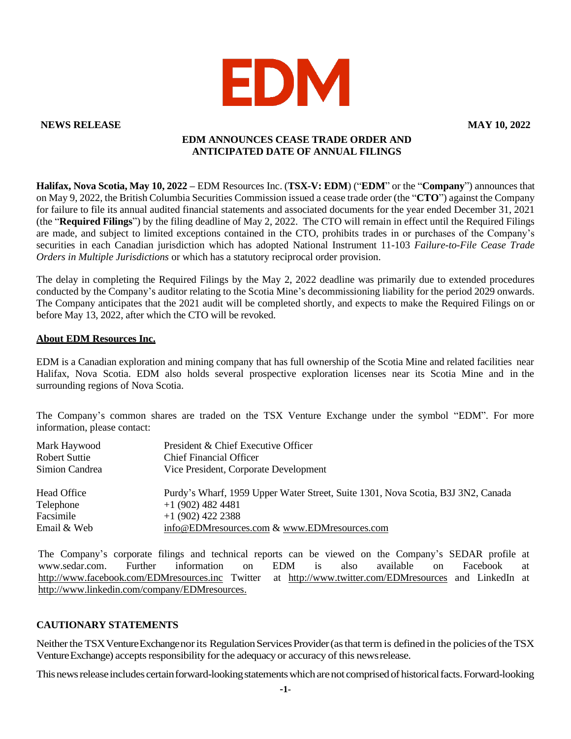

## **NEWS RELEASE MAY 10, 2022**

## **EDM ANNOUNCES CEASE TRADE ORDER AND ANTICIPATED DATE OF ANNUAL FILINGS**

**Halifax, Nova Scotia, May 10, 2022 –** EDM Resources Inc. (**TSX-V: EDM**) ("**EDM**" or the "**Company**") announces that on May 9, 2022, the British Columbia Securities Commission issued a cease trade order (the "**CTO**") against the Company for failure to file its annual audited financial statements and associated documents for the year ended December 31, 2021 (the "**Required Filings**") by the filing deadline of May 2, 2022. The CTO will remain in effect until the Required Filings are made, and subject to limited exceptions contained in the CTO, prohibits trades in or purchases of the Company's securities in each Canadian jurisdiction which has adopted National Instrument 11-103 *Failure-to-File Cease Trade Orders in Multiple Jurisdictions* or which has a statutory reciprocal order provision.

The delay in completing the Required Filings by the May 2, 2022 deadline was primarily due to extended procedures conducted by the Company's auditor relating to the Scotia Mine's decommissioning liability for the period 2029 onwards. The Company anticipates that the 2021 audit will be completed shortly, and expects to make the Required Filings on or before May 13, 2022, after which the CTO will be revoked.

## **About EDM Resources Inc.**

EDM is a Canadian exploration and mining company that has full ownership of the Scotia Mine and related facilities near Halifax, Nova Scotia. EDM also holds several prospective exploration licenses near its Scotia Mine and in the surrounding regions of Nova Scotia.

The Company's common shares are traded on the TSX Venture Exchange under the symbol "EDM". For more information, please contact:

| Mark Haywood   | President & Chief Executive Officer                                              |
|----------------|----------------------------------------------------------------------------------|
| Robert Suttie  | Chief Financial Officer                                                          |
| Simion Candrea | Vice President, Corporate Development                                            |
| Head Office    | Purdy's Wharf, 1959 Upper Water Street, Suite 1301, Nova Scotia, B3J 3N2, Canada |
| Telephone      | $+1$ (902) 482 4481                                                              |
| Facsimile      | $+1(902)$ 422 2388                                                               |
| Email & Web    | info@EDMresources.com & www.EDMresources.com                                     |

The Company's corporate filings and technical reports can be viewed on the Company's SEDAR profile at [www.sedar.com.](http://www.sedar.com/) Further information on EDM is also available on Facebook at <http://www.facebook.com/EDMresources.inc> Twitter at <http://www.twitter.com/EDMresources> and LinkedIn at [http://www.linkedin.com/company/EDMresources.](http://www.linkedin.com/company/EDMresources)

## **CAUTIONARY STATEMENTS**

Neither the TSX Venture Exchangenor its Regulation Services Provider (as that term is defined in the policies of the TSX Venture Exchange) accepts responsibility for the adequacy or accuracy of this news release.

This news release includes certain forward-looking statements which are not comprised of historical facts. Forward-looking